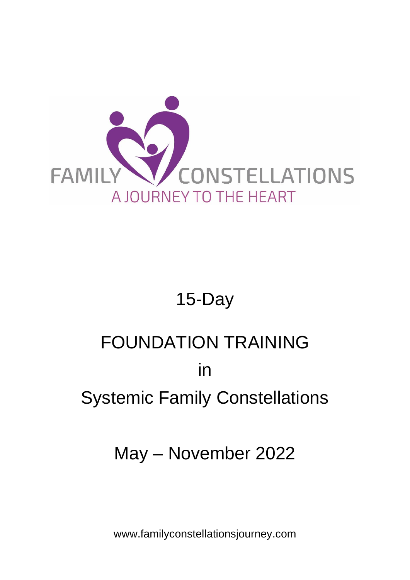

## 15-Day

# FOUNDATION TRAINING in Systemic Family Constellations

## May – November 2022

www.familyconstellationsjourney.com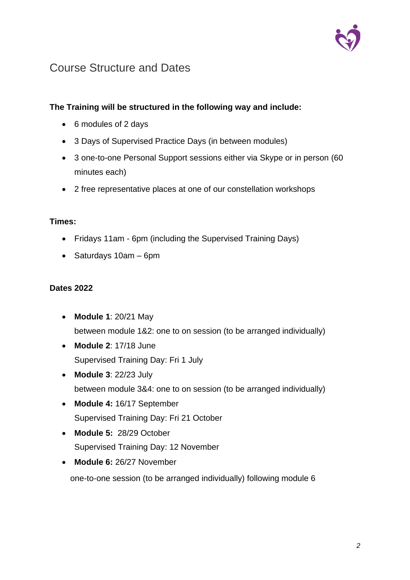

### Course Structure and Dates

#### **The Training will be structured in the following way and include:**

- 6 modules of 2 days
- 3 Days of Supervised Practice Days (in between modules)
- 3 one-to-one Personal Support sessions either via Skype or in person (60 minutes each)
- 2 free representative places at one of our constellation workshops

#### **Times:**

- Fridays 11am 6pm (including the Supervised Training Days)
- Saturdays 10am 6pm

#### **Dates 2022**

- **Module 1**: 20/21 May between module 1&2: one to on session (to be arranged individually)
- **Module 2**: 17/18 June Supervised Training Day: Fri 1 July
- **Module 3**: 22/23 July between module 3&4: one to on session (to be arranged individually)
- **Module 4:** 16/17 September Supervised Training Day: Fri 21 October
- **Module 5:** 28/29 October Supervised Training Day: 12 November
- **Module 6:** 26/27 November

one-to-one session (to be arranged individually) following module 6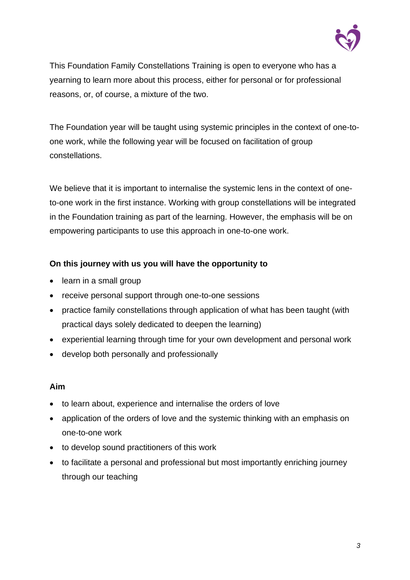

This Foundation Family Constellations Training is open to everyone who has a yearning to learn more about this process, either for personal or for professional reasons, or, of course, a mixture of the two.

The Foundation year will be taught using systemic principles in the context of one-toone work, while the following year will be focused on facilitation of group constellations.

We believe that it is important to internalise the systemic lens in the context of oneto-one work in the first instance. Working with group constellations will be integrated in the Foundation training as part of the learning. However, the emphasis will be on empowering participants to use this approach in one-to-one work.

#### **On this journey with us you will have the opportunity to**

- learn in a small group
- receive personal support through one-to-one sessions
- practice family constellations through application of what has been taught (with practical days solely dedicated to deepen the learning)
- experiential learning through time for your own development and personal work
- develop both personally and professionally

#### **Aim**

- to learn about, experience and internalise the orders of love
- application of the orders of love and the systemic thinking with an emphasis on one-to-one work
- to develop sound practitioners of this work
- to facilitate a personal and professional but most importantly enriching journey through our teaching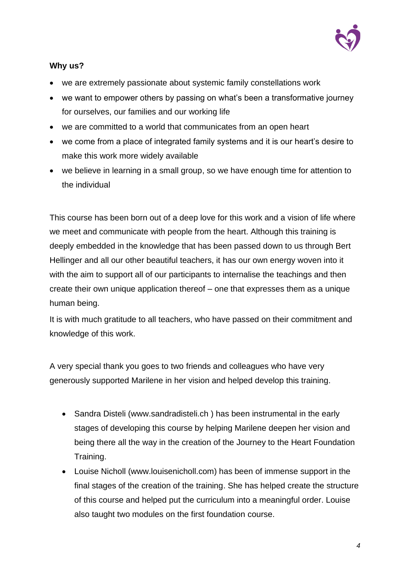

#### **Why us?**

- we are extremely passionate about systemic family constellations work
- we want to empower others by passing on what's been a transformative journey for ourselves, our families and our working life
- we are committed to a world that communicates from an open heart
- we come from a place of integrated family systems and it is our heart's desire to make this work more widely available
- we believe in learning in a small group, so we have enough time for attention to the individual

This course has been born out of a deep love for this work and a vision of life where we meet and communicate with people from the heart. Although this training is deeply embedded in the knowledge that has been passed down to us through Bert Hellinger and all our other beautiful teachers, it has our own energy woven into it with the aim to support all of our participants to internalise the teachings and then create their own unique application thereof – one that expresses them as a unique human being.

It is with much gratitude to all teachers, who have passed on their commitment and knowledge of this work.

A very special thank you goes to two friends and colleagues who have very generously supported Marilene in her vision and helped develop this training.

- Sandra Disteli [\(www.sandradisteli.ch](http://www.sandradisteli.ch/) ) has been instrumental in the early stages of developing this course by helping Marilene deepen her vision and being there all the way in the creation of the Journey to the Heart Foundation Training.
- Louise Nicholl [\(www.louisenicholl.com\)](http://www.louisenicholl.com/) has been of immense support in the final stages of the creation of the training. She has helped create the structure of this course and helped put the curriculum into a meaningful order. Louise also taught two modules on the first foundation course.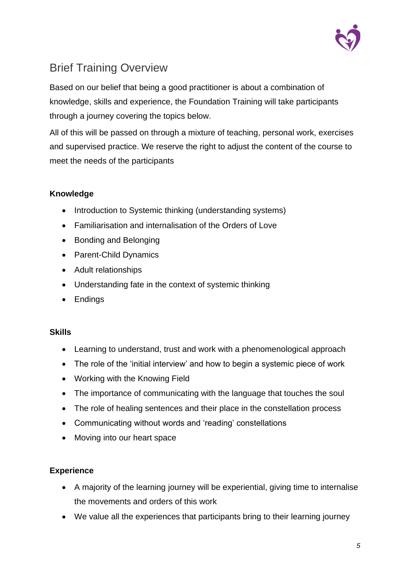

## Brief Training Overview

Based on our belief that being a good practitioner is about a combination of knowledge, skills and experience, the Foundation Training will take participants through a journey covering the topics below.

All of this will be passed on through a mixture of teaching, personal work, exercises and supervised practice. We reserve the right to adjust the content of the course to meet the needs of the participants

#### **Knowledge**

- Introduction to Systemic thinking (understanding systems)
- Familiarisation and internalisation of the Orders of Love
- Bonding and Belonging
- Parent-Child Dynamics
- Adult relationships
- Understanding fate in the context of systemic thinking
- Endings

#### **Skills**

- Learning to understand, trust and work with a phenomenological approach
- The role of the 'initial interview' and how to begin a systemic piece of work
- Working with the Knowing Field
- The importance of communicating with the language that touches the soul
- The role of healing sentences and their place in the constellation process
- Communicating without words and 'reading' constellations
- Moving into our heart space

#### **Experience**

- A majority of the learning journey will be experiential, giving time to internalise the movements and orders of this work
- We value all the experiences that participants bring to their learning journey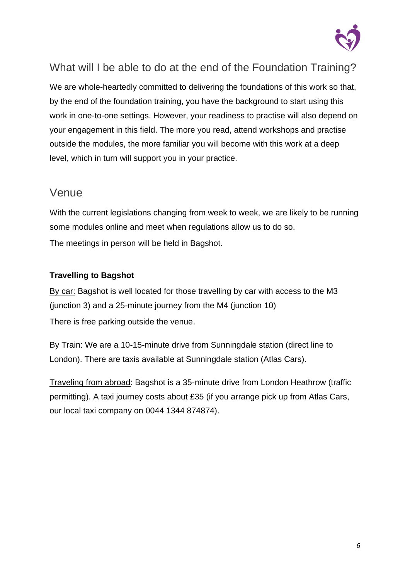

### What will I be able to do at the end of the Foundation Training?

We are whole-heartedly committed to delivering the foundations of this work so that, by the end of the foundation training, you have the background to start using this work in one-to-one settings. However, your readiness to practise will also depend on your engagement in this field. The more you read, attend workshops and practise outside the modules, the more familiar you will become with this work at a deep level, which in turn will support you in your practice.

#### Venue

With the current legislations changing from week to week, we are likely to be running some modules online and meet when regulations allow us to do so. The meetings in person will be held in Bagshot.

#### **Travelling to Bagshot**

By car: Bagshot is well located for those travelling by car with access to the M3 (junction 3) and a 25-minute journey from the M4 (junction 10) There is free parking outside the venue.

By Train: We are a 10-15-minute drive from Sunningdale station (direct line to London). There are taxis available at Sunningdale station (Atlas Cars).

Traveling from abroad: Bagshot is a 35-minute drive from London Heathrow (traffic permitting). A taxi journey costs about £35 (if you arrange pick up from Atlas Cars, our local taxi company on 0044 1344 874874).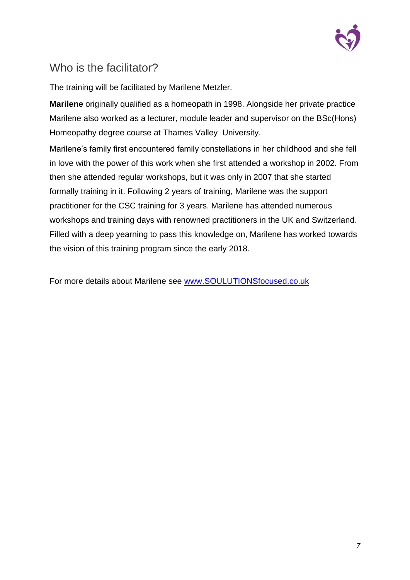

## Who is the facilitator?

The training will be facilitated by Marilene Metzler.

**Marilene** originally qualified as a homeopath in 1998. Alongside her private practice Marilene also worked as a lecturer, module leader and supervisor on the BSc(Hons) Homeopathy degree course at Thames Valley University.

Marilene's family first encountered family constellations in her childhood and she fell in love with the power of this work when she first attended a workshop in 2002. From then she attended regular workshops, but it was only in 2007 that she started formally training in it. Following 2 years of training, Marilene was the support practitioner for the CSC training for 3 years. Marilene has attended numerous workshops and training days with renowned practitioners in the UK and Switzerland. Filled with a deep yearning to pass this knowledge on, Marilene has worked towards the vision of this training program since the early 2018.

For more details about Marilene see [www.SOULUTIONSfocused.co.uk](file:///C:/Users/maril/Dropbox/FND%202020-21/www.SOULUTIONSfocused.co.uk)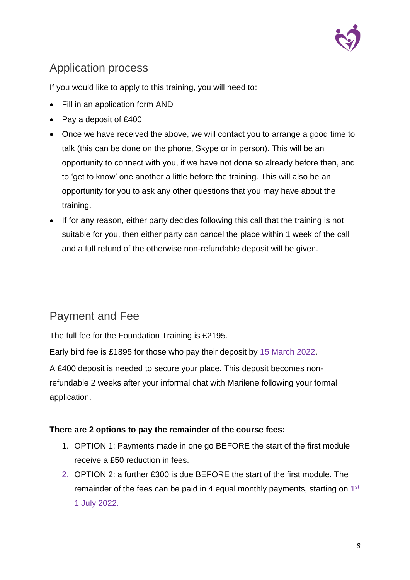

## Application process

If you would like to apply to this training, you will need to:

- Fill in an application form AND
- Pay a deposit of £400
- Once we have received the above, we will contact you to arrange a good time to talk (this can be done on the phone, Skype or in person). This will be an opportunity to connect with you, if we have not done so already before then, and to 'get to know' one another a little before the training. This will also be an opportunity for you to ask any other questions that you may have about the training.
- If for any reason, either party decides following this call that the training is not suitable for you, then either party can cancel the place within 1 week of the call and a full refund of the otherwise non-refundable deposit will be given.

## Payment and Fee

The full fee for the Foundation Training is £2195.

Early bird fee is £1895 for those who pay their deposit by 15 March 2022.

A £400 deposit is needed to secure your place. This deposit becomes nonrefundable 2 weeks after your informal chat with Marilene following your formal application.

#### **There are 2 options to pay the remainder of the course fees:**

- 1. OPTION 1: Payments made in one go BEFORE the start of the first module receive a £50 reduction in fees.
- 2. OPTION 2: a further £300 is due BEFORE the start of the first module. The remainder of the fees can be paid in 4 equal monthly payments, starting on  $1<sup>st</sup>$ 1 July 2022.